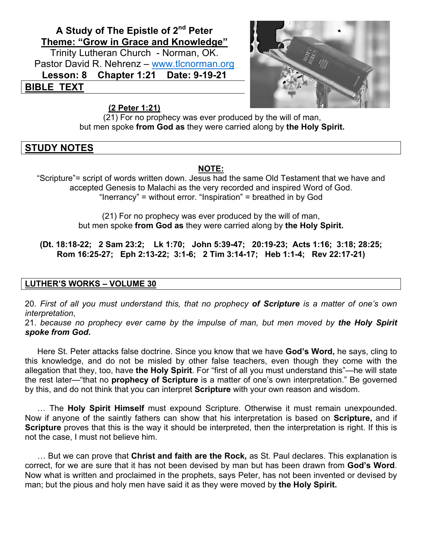# **A Study of The Epistle of 2nd Peter Theme: "Grow in Grace and Knowledge"**

Trinity Lutheran Church - Norman, OK. Pastor David R. Nehrenz – www.tlcnorman.org **Lesson: 8 Chapter 1:21 Date: 9-19-21 BIBLE TEXT**

#### **(2 Peter 1:21)**



(21) For no prophecy was ever produced by the will of man, but men spoke **from God as** they were carried along by **the Holy Spirit.**

## **STUDY NOTES**

#### **NOTE:**

"Scripture"= script of words written down. Jesus had the same Old Testament that we have and accepted Genesis to Malachi as the very recorded and inspired Word of God. "Inerrancy" = without error. "Inspiration" = breathed in by God

> (21) For no prophecy was ever produced by the will of man, but men spoke **from God as** they were carried along by **the Holy Spirit.**

**(Dt. 18:18-22; 2 Sam 23:2; Lk 1:70; John 5:39-47; 20:19-23; Acts 1:16; 3:18; 28:25; Rom 16:25-27; Eph 2:13-22; 3:1-6; 2 Tim 3:14-17; Heb 1:1-4; Rev 22:17-21)**

#### **LUTHER'S WORKS – VOLUME 30**

20. *First of all you must understand this, that no prophecy of Scripture is a matter of one's own interpretation*,

21. *because no prophecy ever came by the impulse of man, but men moved by the Holy Spirit spoke from God***.**

Here St. Peter attacks false doctrine. Since you know that we have **God's Word,** he says, cling to this knowledge, and do not be misled by other false teachers, even though they come with the allegation that they, too, have **the Holy Spirit**. For "first of all you must understand this"—he will state the rest later—"that no **prophecy of Scripture** is a matter of one's own interpretation." Be governed by this, and do not think that you can interpret **Scripture** with your own reason and wisdom.

… The **Holy Spirit Himself** must expound Scripture. Otherwise it must remain unexpounded. Now if anyone of the saintly fathers can show that his interpretation is based on **Scripture,** and if **Scripture** proves that this is the way it should be interpreted, then the interpretation is right. If this is not the case, I must not believe him.

… But we can prove that **Christ and faith are the Rock,** as St. Paul declares. This explanation is correct, for we are sure that it has not been devised by man but has been drawn from **God's Word**. Now what is written and proclaimed in the prophets, says Peter, has not been invented or devised by man; but the pious and holy men have said it as they were moved by **the Holy Spirit.**